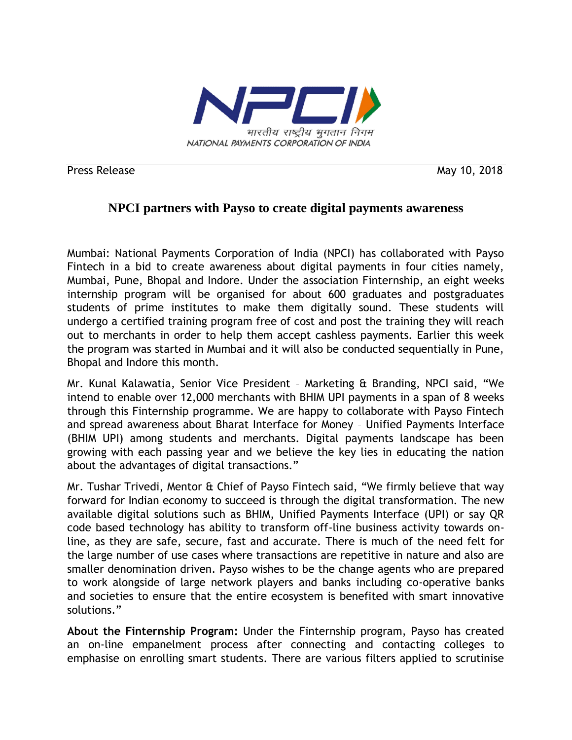

Press Release May 10, 2018

## **NPCI partners with Payso to create digital payments awareness**

Mumbai: National Payments Corporation of India (NPCI) has collaborated with Payso Fintech in a bid to create awareness about digital payments in four cities namely, Mumbai, Pune, Bhopal and Indore. Under the association Finternship, an eight weeks internship program will be organised for about 600 graduates and postgraduates students of prime institutes to make them digitally sound. These students will undergo a certified training program free of cost and post the training they will reach out to merchants in order to help them accept cashless payments. Earlier this week the program was started in Mumbai and it will also be conducted sequentially in Pune, Bhopal and Indore this month.

Mr. Kunal Kalawatia, Senior Vice President – Marketing & Branding, NPCI said, "We intend to enable over 12,000 merchants with BHIM UPI payments in a span of 8 weeks through this Finternship programme. We are happy to collaborate with Payso Fintech and spread awareness about Bharat Interface for Money – Unified Payments Interface (BHIM UPI) among students and merchants. Digital payments landscape has been growing with each passing year and we believe the key lies in educating the nation about the advantages of digital transactions."

Mr. Tushar Trivedi, Mentor & Chief of Payso Fintech said, "We firmly believe that way forward for Indian economy to succeed is through the digital transformation. The new available digital solutions such as BHIM, Unified Payments Interface (UPI) or say QR code based technology has ability to transform off-line business activity towards online, as they are safe, secure, fast and accurate. There is much of the need felt for the large number of use cases where transactions are repetitive in nature and also are smaller denomination driven. Payso wishes to be the change agents who are prepared to work alongside of large network players and banks including co-operative banks and societies to ensure that the entire ecosystem is benefited with smart innovative solutions."

**About the Finternship Program:** Under the Finternship program, Payso has created an on-line empanelment process after connecting and contacting colleges to emphasise on enrolling smart students. There are various filters applied to scrutinise